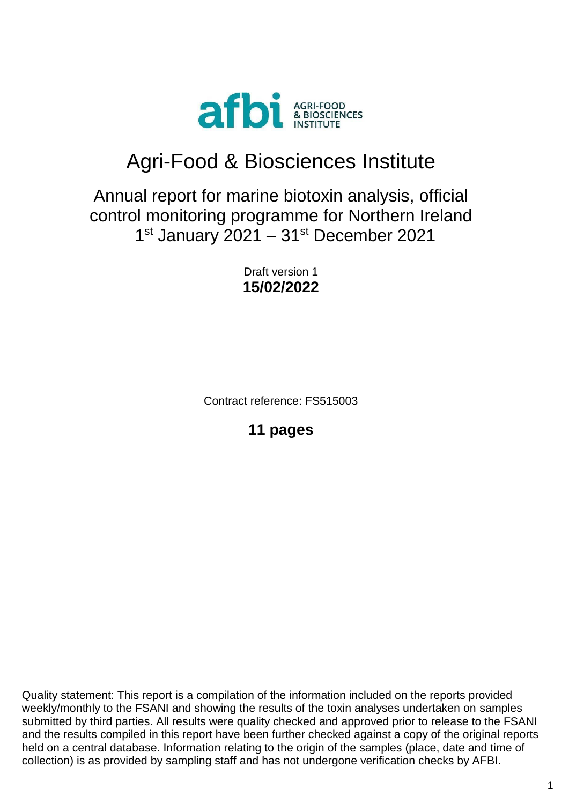

# Agri-Food & Biosciences Institute

## Annual report for marine biotoxin analysis, official control monitoring programme for Northern Ireland 1<sup>st</sup> January 2021 - 31<sup>st</sup> December 2021

Draft version 1 **15/02/2022**

Contract reference: FS515003

**11 pages**

Quality statement: This report is a compilation of the information included on the reports provided weekly/monthly to the FSANI and showing the results of the toxin analyses undertaken on samples submitted by third parties. All results were quality checked and approved prior to release to the FSANI and the results compiled in this report have been further checked against a copy of the original reports held on a central database. Information relating to the origin of the samples (place, date and time of collection) is as provided by sampling staff and has not undergone verification checks by AFBI.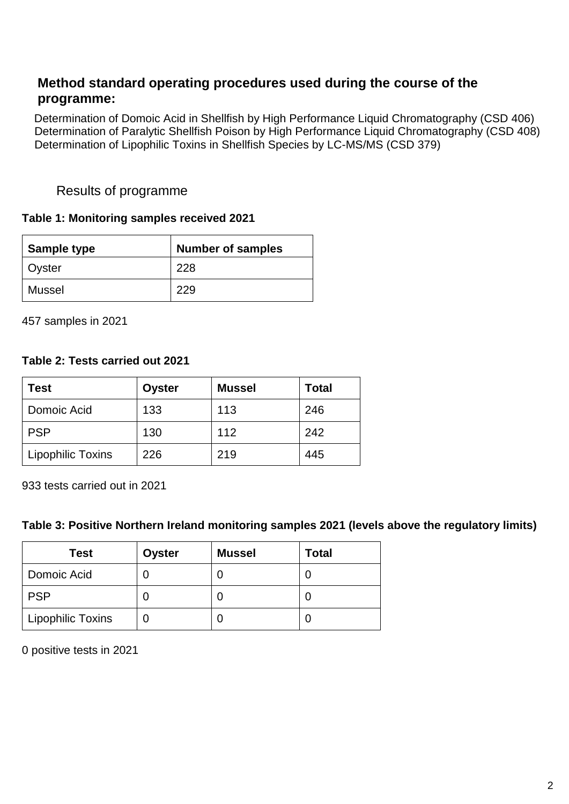## **Method standard operating procedures used during the course of the programme:**

Determination of Domoic Acid in Shellfish by High Performance Liquid Chromatography (CSD 406) Determination of Paralytic Shellfish Poison by High Performance Liquid Chromatography (CSD 408) Determination of Lipophilic Toxins in Shellfish Species by LC-MS/MS (CSD 379)

#### Results of programme

#### **Table 1: Monitoring samples received 2021**

| <b>Sample type</b> | <b>Number of samples</b> |  |  |
|--------------------|--------------------------|--|--|
| Oyster             | 228                      |  |  |
| Mussel             | 229                      |  |  |

457 samples in 2021

#### **Table 2: Tests carried out 2021**

| Test                     | Oyster | <b>Mussel</b> | <b>Total</b> |
|--------------------------|--------|---------------|--------------|
| Domoic Acid              | 133    | 113           | 246          |
| <b>PSP</b>               | 130    | 112           | 242          |
| <b>Lipophilic Toxins</b> | 226    | 219           | 445          |

933 tests carried out in 2021

#### **Table 3: Positive Northern Ireland monitoring samples 2021 (levels above the regulatory limits)**

| <b>Test</b>              | <b>Oyster</b> | <b>Mussel</b> | <b>Total</b> |
|--------------------------|---------------|---------------|--------------|
| Domoic Acid              |               |               |              |
| <b>PSP</b>               |               |               |              |
| <b>Lipophilic Toxins</b> |               |               |              |

0 positive tests in 2021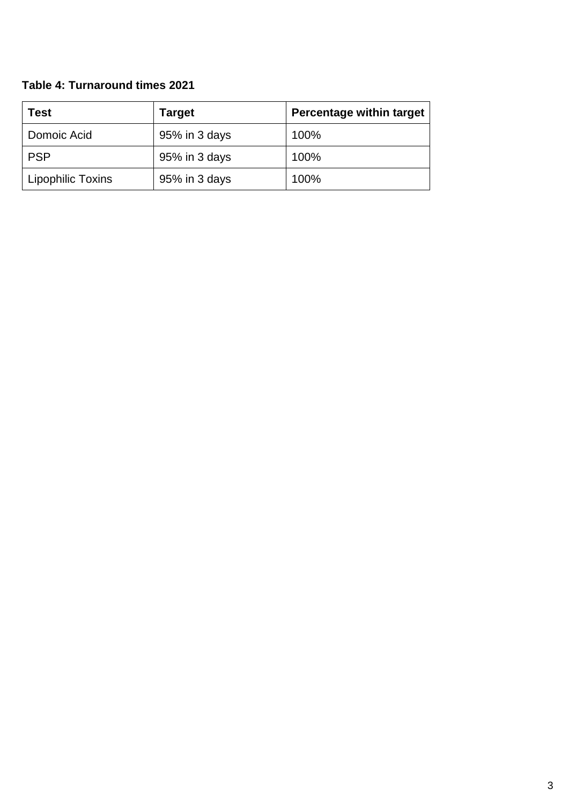## **Table 4: Turnaround times 2021**

| Test              | <b>Target</b> | <b>Percentage within target</b> |
|-------------------|---------------|---------------------------------|
| Domoic Acid       | 95% in 3 days | 100%                            |
| <b>PSP</b>        | 95% in 3 days | 100%                            |
| Lipophilic Toxins | 95% in 3 days | 100%                            |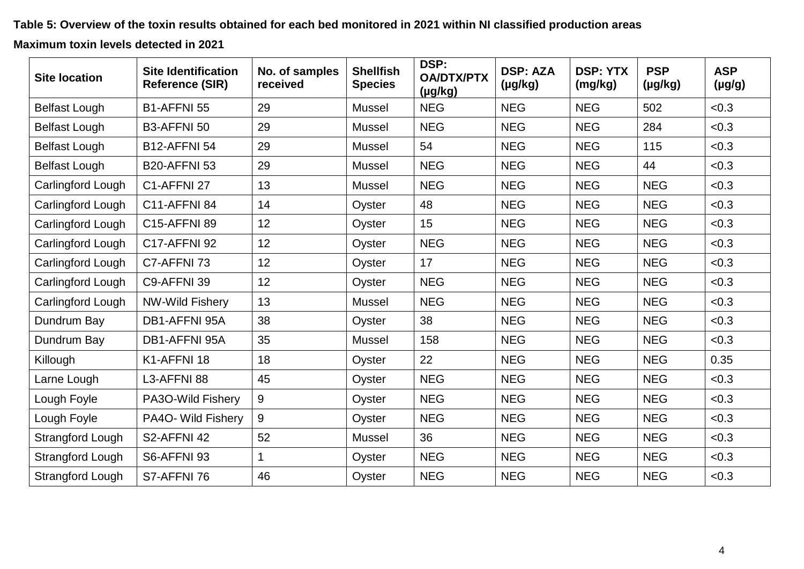**Table 5: Overview of the toxin results obtained for each bed monitored in 2021 within NI classified production areas** 

**Maximum toxin levels detected in 2021**

| <b>Site location</b>    | <b>Site Identification</b><br><b>Reference (SIR)</b> | No. of samples<br>received | <b>Shellfish</b><br><b>Species</b> | DSP:<br><b>OA/DTX/PTX</b><br>$(\mu g/kg)$ | <b>DSP: AZA</b><br>$(\mu g/kg)$ | <b>DSP: YTX</b><br>(mg/kg) | <b>PSP</b><br>$(\mu g/kg)$ | <b>ASP</b><br>$(\mu g/g)$ |
|-------------------------|------------------------------------------------------|----------------------------|------------------------------------|-------------------------------------------|---------------------------------|----------------------------|----------------------------|---------------------------|
| <b>Belfast Lough</b>    | B1-AFFNI 55                                          | 29                         | <b>Mussel</b>                      | <b>NEG</b>                                | <b>NEG</b>                      | <b>NEG</b>                 | 502                        | < 0.3                     |
| <b>Belfast Lough</b>    | B3-AFFNI 50                                          | 29                         | <b>Mussel</b>                      | <b>NEG</b>                                | <b>NEG</b>                      | <b>NEG</b>                 | 284                        | < 0.3                     |
| <b>Belfast Lough</b>    | <b>B12-AFFNI 54</b>                                  | 29                         | <b>Mussel</b>                      | 54                                        | <b>NEG</b>                      | <b>NEG</b>                 | 115                        | < 0.3                     |
| <b>Belfast Lough</b>    | <b>B20-AFFNI 53</b>                                  | 29                         | <b>Mussel</b>                      | <b>NEG</b>                                | <b>NEG</b>                      | <b>NEG</b>                 | 44                         | < 0.3                     |
| Carlingford Lough       | C1-AFFNI 27                                          | 13                         | <b>Mussel</b>                      | <b>NEG</b>                                | <b>NEG</b>                      | <b>NEG</b>                 | <b>NEG</b>                 | < 0.3                     |
| Carlingford Lough       | <b>C11-AFFNI 84</b>                                  | 14                         | Oyster                             | 48                                        | <b>NEG</b>                      | <b>NEG</b>                 | <b>NEG</b>                 | < 0.3                     |
| Carlingford Lough       | <b>C15-AFFNI 89</b>                                  | 12                         | Oyster                             | 15                                        | <b>NEG</b>                      | <b>NEG</b>                 | <b>NEG</b>                 | < 0.3                     |
| Carlingford Lough       | <b>C17-AFFNI 92</b>                                  | 12                         | Oyster                             | <b>NEG</b>                                | <b>NEG</b>                      | <b>NEG</b>                 | <b>NEG</b>                 | < 0.3                     |
| Carlingford Lough       | C7-AFFNI 73                                          | 12                         | Oyster                             | 17                                        | <b>NEG</b>                      | <b>NEG</b>                 | <b>NEG</b>                 | < 0.3                     |
| Carlingford Lough       | C9-AFFNI 39                                          | 12                         | Oyster                             | <b>NEG</b>                                | <b>NEG</b>                      | <b>NEG</b>                 | <b>NEG</b>                 | < 0.3                     |
| Carlingford Lough       | <b>NW-Wild Fishery</b>                               | 13                         | <b>Mussel</b>                      | <b>NEG</b>                                | <b>NEG</b>                      | <b>NEG</b>                 | <b>NEG</b>                 | < 0.3                     |
| Dundrum Bay             | DB1-AFFNI 95A                                        | 38                         | Oyster                             | 38                                        | <b>NEG</b>                      | <b>NEG</b>                 | <b>NEG</b>                 | < 0.3                     |
| Dundrum Bay             | DB1-AFFNI 95A                                        | 35                         | <b>Mussel</b>                      | 158                                       | <b>NEG</b>                      | <b>NEG</b>                 | <b>NEG</b>                 | < 0.3                     |
| Killough                | K1-AFFNI 18                                          | 18                         | Oyster                             | 22                                        | <b>NEG</b>                      | <b>NEG</b>                 | <b>NEG</b>                 | 0.35                      |
| Larne Lough             | L3-AFFNI 88                                          | 45                         | Oyster                             | <b>NEG</b>                                | <b>NEG</b>                      | <b>NEG</b>                 | <b>NEG</b>                 | < 0.3                     |
| Lough Foyle             | PA3O-Wild Fishery                                    | 9                          | Oyster                             | <b>NEG</b>                                | <b>NEG</b>                      | <b>NEG</b>                 | <b>NEG</b>                 | < 0.3                     |
| Lough Foyle             | PA4O- Wild Fishery                                   | 9                          | Oyster                             | <b>NEG</b>                                | <b>NEG</b>                      | <b>NEG</b>                 | <b>NEG</b>                 | < 0.3                     |
| <b>Strangford Lough</b> | S2-AFFNI 42                                          | 52                         | <b>Mussel</b>                      | 36                                        | <b>NEG</b>                      | <b>NEG</b>                 | <b>NEG</b>                 | < 0.3                     |
| Strangford Lough        | S6-AFFNI 93                                          | 1                          | Oyster                             | <b>NEG</b>                                | <b>NEG</b>                      | <b>NEG</b>                 | <b>NEG</b>                 | < 0.3                     |
| <b>Strangford Lough</b> | S7-AFFNI 76                                          | 46                         | Oyster                             | <b>NEG</b>                                | <b>NEG</b>                      | <b>NEG</b>                 | <b>NEG</b>                 | < 0.3                     |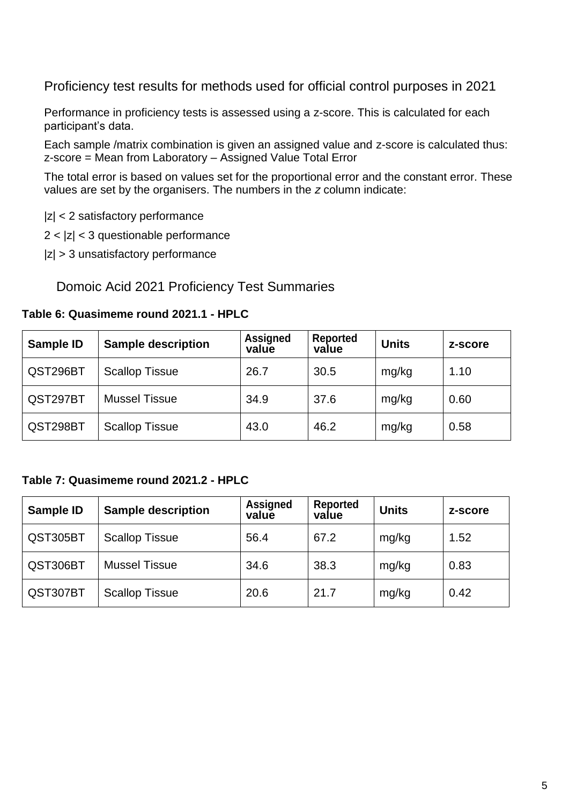Proficiency test results for methods used for official control purposes in 2021

Performance in proficiency tests is assessed using a z-score. This is calculated for each participant's data.

Each sample /matrix combination is given an assigned value and z-score is calculated thus: z-score = Mean from Laboratory – Assigned Value Total Error

The total error is based on values set for the proportional error and the constant error. These values are set by the organisers. The numbers in the *z* column indicate:

|z| < 2 satisfactory performance

 $2 < |z| < 3$  questionable performance

 $|z| > 3$  unsatisfactory performance

Domoic Acid 2021 Proficiency Test Summaries

#### **Table 6: Quasimeme round 2021.1 - HPLC**

| Sample ID | <b>Sample description</b> | <b>Assigned</b><br>value | <b>Reported</b><br>value | <b>Units</b> | z-score |
|-----------|---------------------------|--------------------------|--------------------------|--------------|---------|
| QST296BT  | <b>Scallop Tissue</b>     | 26.7                     | 30.5                     | mg/kg        | 1.10    |
| QST297BT  | <b>Mussel Tissue</b>      | 34.9                     | 37.6                     | mg/kg        | 0.60    |
| QST298BT  | <b>Scallop Tissue</b>     | 43.0                     | 46.2                     | mg/kg        | 0.58    |

#### **Table 7: Quasimeme round 2021.2 - HPLC**

| Sample ID | <b>Sample description</b> | <b>Assigned</b><br>value | <b>Reported</b><br>value | <b>Units</b> | z-score |
|-----------|---------------------------|--------------------------|--------------------------|--------------|---------|
| QST305BT  | <b>Scallop Tissue</b>     | 56.4                     | 67.2                     | mg/kg        | 1.52    |
| QST306BT  | <b>Mussel Tissue</b>      | 34.6                     | 38.3                     | mg/kg        | 0.83    |
| QST307BT  | <b>Scallop Tissue</b>     | 20.6                     | 21.7                     | mg/kg        | 0.42    |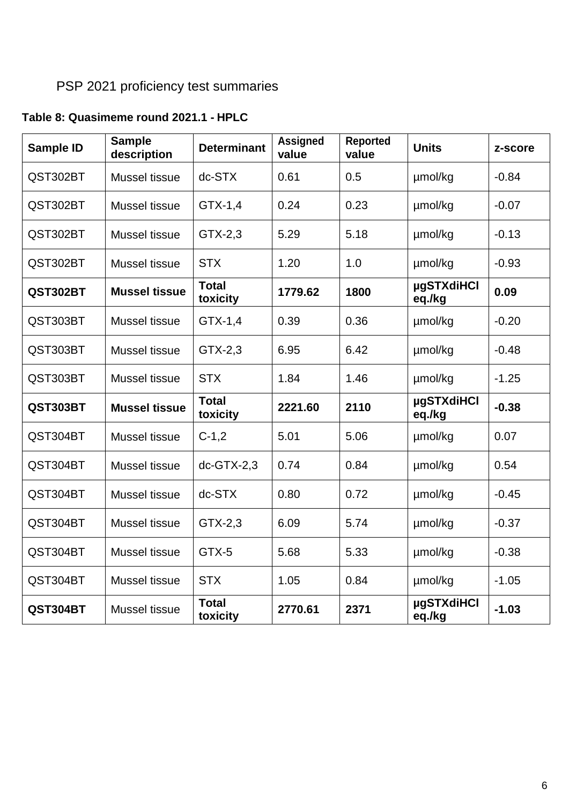## PSP 2021 proficiency test summaries

## **Table 8: Quasimeme round 2021.1 - HPLC**

| <b>Sample ID</b> | <b>Sample</b><br>description | <b>Determinant</b>       | <b>Assigned</b><br>value | <b>Reported</b><br>value | <b>Units</b>                | z-score |
|------------------|------------------------------|--------------------------|--------------------------|--------------------------|-----------------------------|---------|
| QST302BT         | Mussel tissue                | $dc-STX$                 | 0.61                     | 0.5                      | µmol/kg                     | $-0.84$ |
| QST302BT         | Mussel tissue                | $GTX-1,4$                | 0.24                     | 0.23                     | µmol/kg                     | $-0.07$ |
| QST302BT         | Mussel tissue                | GTX-2,3                  | 5.29                     | 5.18                     | µmol/kg                     | $-0.13$ |
| QST302BT         | Mussel tissue                | <b>STX</b>               | 1.20                     | 1.0                      | µmol/kg                     | $-0.93$ |
| QST302BT         | <b>Mussel tissue</b>         | <b>Total</b><br>toxicity | 1779.62                  | 1800                     | µgSTXdiHCl<br>eq./kg        | 0.09    |
| QST303BT         | Mussel tissue                | $GTX-1,4$                | 0.39                     | 0.36                     | µmol/kg                     | $-0.20$ |
| QST303BT         | Mussel tissue                | GTX-2,3                  | 6.95                     | 6.42                     | µmol/kg                     | $-0.48$ |
| QST303BT         | Mussel tissue                | <b>STX</b>               | 1.84                     | 1.46                     | µmol/kg                     | $-1.25$ |
| QST303BT         | <b>Mussel tissue</b>         | <b>Total</b><br>toxicity | 2221.60                  | 2110                     | µgSTXdiHCl<br>eq./kg        | $-0.38$ |
| QST304BT         | Mussel tissue                | $C-1,2$                  | 5.01                     | 5.06                     | µmol/kg                     | 0.07    |
| QST304BT         | Mussel tissue                | $dc-GTX-2,3$             | 0.74                     | 0.84                     | µmol/kg                     | 0.54    |
| QST304BT         | Mussel tissue                | dc-STX                   | 0.80                     | 0.72                     | umol/kg                     | $-0.45$ |
| QST304BT         | Mussel tissue                | GTX-2,3                  | 6.09                     | 5.74                     | µmol/kg                     | $-0.37$ |
| QST304BT         | Mussel tissue                | GTX-5                    | 5.68                     | 5.33                     | µmol/kg                     | $-0.38$ |
| QST304BT         | Mussel tissue                | <b>STX</b>               | 1.05                     | 0.84                     | µmol/kg                     | $-1.05$ |
| QST304BT         | Mussel tissue                | <b>Total</b><br>toxicity | 2770.61                  | 2371                     | <b>µgSTXdiHCl</b><br>eq./kg | $-1.03$ |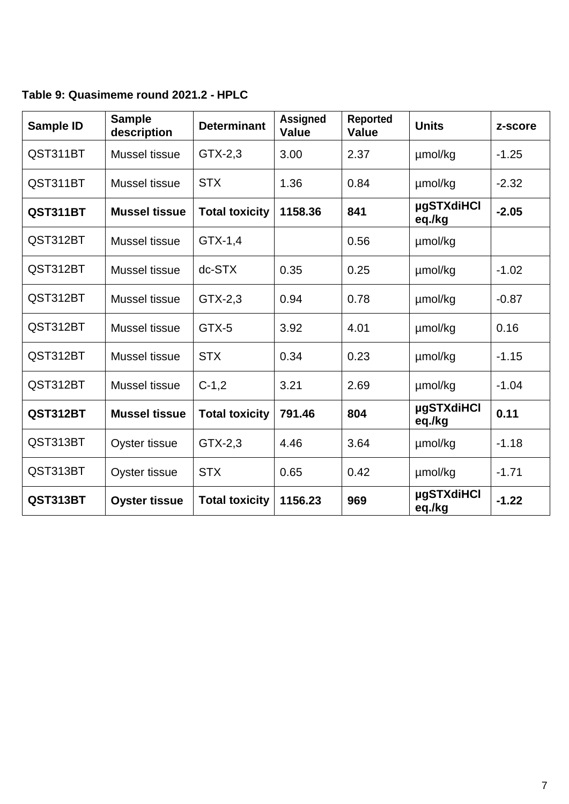## **Table 9: Quasimeme round 2021.2 - HPLC**

| Sample ID | <b>Sample</b><br>description | <b>Determinant</b>    | <b>Assigned</b><br><b>Value</b> | <b>Reported</b><br><b>Value</b> | <b>Units</b>                | z-score |
|-----------|------------------------------|-----------------------|---------------------------------|---------------------------------|-----------------------------|---------|
| QST311BT  | Mussel tissue                | GTX-2,3               | 3.00                            | 2.37                            | umol/kg                     | $-1.25$ |
| QST311BT  | Mussel tissue                | <b>STX</b>            | 1.36                            | 0.84                            | umol/kg                     | $-2.32$ |
| QST311BT  | <b>Mussel tissue</b>         | <b>Total toxicity</b> | 1158.36                         | 841                             | <b>µgSTXdiHCl</b><br>eq./kg | $-2.05$ |
| QST312BT  | Mussel tissue                | $GTX-1,4$             |                                 | 0.56                            | µmol/kg                     |         |
| QST312BT  | Mussel tissue                | dc-STX                | 0.35                            | 0.25                            | umol/kg                     | $-1.02$ |
| QST312BT  | Mussel tissue                | $GTX-2,3$             | 0.94                            | 0.78                            | µmol/kg                     | $-0.87$ |
| QST312BT  | Mussel tissue                | GTX-5                 | 3.92                            | 4.01                            | µmol/kg                     | 0.16    |
| QST312BT  | Mussel tissue                | <b>STX</b>            | 0.34                            | 0.23                            | µmol/kg                     | $-1.15$ |
| QST312BT  | Mussel tissue                | $C-1,2$               | 3.21                            | 2.69                            | µmol/kg                     | $-1.04$ |
| QST312BT  | <b>Mussel tissue</b>         | <b>Total toxicity</b> | 791.46                          | 804                             | <b>µgSTXdiHCl</b><br>eq./kg | 0.11    |
| QST313BT  | Oyster tissue                | GTX-2,3               | 4.46                            | 3.64                            | umol/kg                     | $-1.18$ |
| QST313BT  | Oyster tissue                | <b>STX</b>            | 0.65                            | 0.42                            | umol/kg                     | $-1.71$ |
| QST313BT  | <b>Oyster tissue</b>         | <b>Total toxicity</b> | 1156.23                         | 969                             | <b>µgSTXdiHCl</b><br>eq./kg | $-1.22$ |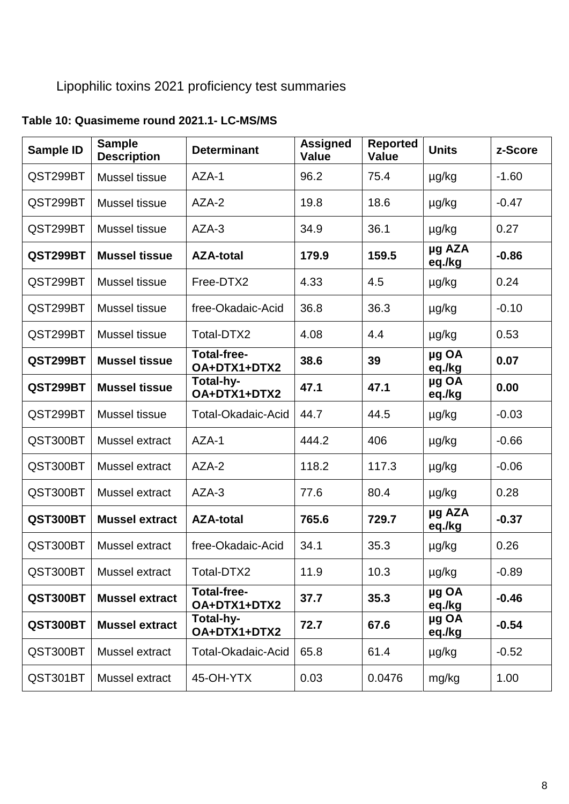## Lipophilic toxins 2021 proficiency test summaries

## **Sample ID Sample Description Determinant Assigned Value Reported Value Units z-Score** QST299BT | Mussel tissue | AZA-1 | 96.2 | 75.4 | µg/kg | -1.60 QST299BT | Mussel tissue | AZA-2 | 19.8 | 18.6 | µg/kg | -0.47  $QST299BT$  Mussel tissue  $|AZA-3$   $|34.9$   $|36.1$   $|µg/kg$  0.27 **QST299BT Mussel tissue AZA-total 179.9 159.5 µg AZA eq./kg -0.86**  $QST299BT$  Mussel tissue Free-DTX2  $4.33$   $4.5$   $\mu$ g/kg 0.24  $QST299BT$  Mussel tissue free-Okadaic-Acid  $\vert$  36.8  $\vert$  36.3  $\vert$  µg/kg  $\vert$  -0.10  $QST299BT$  Mussel tissue Total-DTX2  $4.08$  4.4  $\mu$ g/kg 0.53 **QST299BT Mussel tissue Total-free-OA+DTX1+DTX2 38.6 <sup>39</sup> µg OA eq./kg 0.07 QST299BT Mussel tissue Total-hy-OA+DTX1+DTX2 47.1 47.1 µg OA eq./kg 0.00** QST299BT | Mussel tissue | Total-Okadaic-Acid | 44.7 | 44.5 | µg/kg | -0.03 QST300BT | Mussel extract | AZA-1  $\vert$  444.2  $\vert$  406  $\vert$  µg/kg  $\vert$  -0.66 QST300BT | Mussel extract | AZA-2  $\vert$  118.2  $\vert$  117.3  $\vert$  µg/kg  $\vert$  -0.06  $QST300BT$  Mussel extract  $|AZA-3$   $|77.6$   $|80.4$   $|µg/kg$  0.28 **QST300BT Mussel extract AZA-total 765.6 729.7 µg AZA eq./kg -0.37** QST300BT | Mussel extract | free-Okadaic-Acid | 34.1  $\vert$  35.3  $\vert$  µg/kg  $\vert$  0.26  $QST300BT$  Mussel extract  $|Total-DTX2$   $|11.9$   $|10.3$   $|µq/kg$   $|0.89$ **QST300BT Mussel extract Total-free-OA+DTX1+DTX2 37.7 35.3 µg OA eq./kg -0.46 QST300BT Mussel extract Total-hy-OA+DTX1+DTX2 72.7 67.6 µg OA eq./kg -0.54** QST300BT | Mussel extract | Total-Okadaic-Acid | 65.8 | 61.4 | µg/kg | -0.52 QST301BT | Mussel extract | 45-OH-YTX | 0.03 | 0.0476 | mg/kg | 1.00

#### **Table 10: Quasimeme round 2021.1- LC-MS/MS**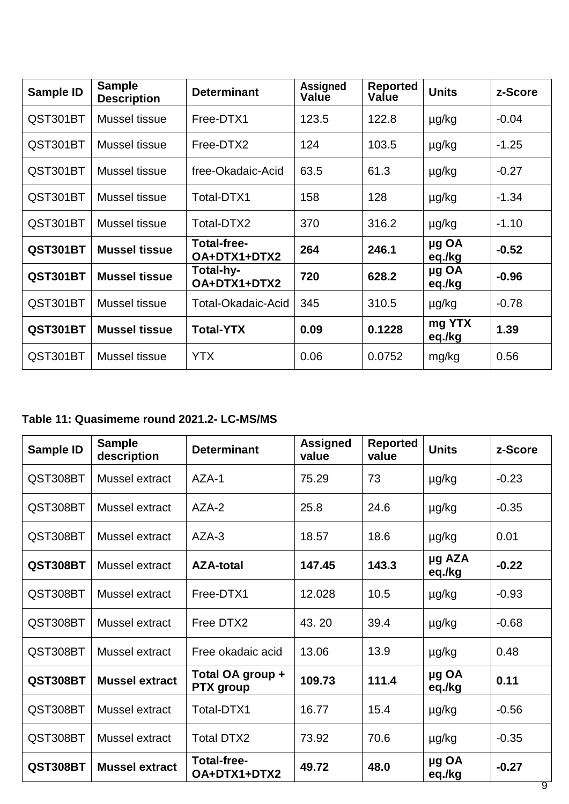| Sample ID | <b>Sample</b><br><b>Description</b> | <b>Determinant</b>                 | <b>Assigned</b><br>Value | <b>Reported</b><br>Value | <b>Units</b>     | z-Score |
|-----------|-------------------------------------|------------------------------------|--------------------------|--------------------------|------------------|---------|
| QST301BT  | Mussel tissue                       | Free-DTX1                          | 123.5                    | 122.8                    | µg/kg            | $-0.04$ |
| QST301BT  | Mussel tissue                       | Free-DTX2                          | 124                      | 103.5                    | µg/kg            | $-1.25$ |
| QST301BT  | Mussel tissue                       | free-Okadaic-Acid                  | 63.5                     | 61.3                     | µg/kg            | $-0.27$ |
| QST301BT  | Mussel tissue                       | Total-DTX1                         | 158                      | 128                      | µg/kg            | $-1.34$ |
| QST301BT  | Mussel tissue                       | Total-DTX2                         | 370                      | 316.2                    | µg/kg            | $-1.10$ |
| QST301BT  | <b>Mussel tissue</b>                | <b>Total-free-</b><br>OA+DTX1+DTX2 | 264                      | 246.1                    | µg OA<br>eq./kg  | $-0.52$ |
| QST301BT  | <b>Mussel tissue</b>                | Total-hy-<br>OA+DTX1+DTX2          | 720                      | 628.2                    | µg OA<br>eq./kg  | $-0.96$ |
| QST301BT  | Mussel tissue                       | <b>Total-Okadaic-Acid</b>          | 345                      | 310.5                    | µg/kg            | $-0.78$ |
| QST301BT  | <b>Mussel tissue</b>                | <b>Total-YTX</b>                   | 0.09                     | 0.1228                   | mg YTX<br>eq./kg | 1.39    |
| QST301BT  | Mussel tissue                       | <b>YTX</b>                         | 0.06                     | 0.0752                   | mg/kg            | 0.56    |

## **Table 11: Quasimeme round 2021.2- LC-MS/MS**

| <b>Sample ID</b> | <b>Sample</b><br>description | <b>Determinant</b>                   | <b>Assigned</b><br>value | <b>Reported</b><br>value | <b>Units</b>     | z-Score |
|------------------|------------------------------|--------------------------------------|--------------------------|--------------------------|------------------|---------|
| QST308BT         | Mussel extract               | $AZA-1$                              | 75.29                    | 73                       | µg/kg            | $-0.23$ |
| QST308BT         | Mussel extract               | AZA-2                                | 25.8                     | 24.6                     | $\mu$ g/kg       | $-0.35$ |
| QST308BT         | Mussel extract               | $AZA-3$                              | 18.57                    | 18.6                     | $\mu$ g/kg       | 0.01    |
| QST308BT         | Mussel extract               | <b>AZA-total</b>                     | 147.45                   | 143.3                    | µg AZA<br>eq./kg | $-0.22$ |
| QST308BT         | Mussel extract               | Free-DTX1                            | 12.028                   | 10.5                     | µg/kg            | $-0.93$ |
| QST308BT         | Mussel extract               | Free DTX2                            | 43.20                    | 39.4                     | µg/kg            | $-0.68$ |
| QST308BT         | Mussel extract               | Free okadaic acid                    | 13.06                    | 13.9                     | $\mu$ g/kg       | 0.48    |
| QST308BT         | <b>Mussel extract</b>        | Total OA group +<br><b>PTX</b> group | 109.73                   | 111.4                    | µg OA<br>eq./kg  | 0.11    |
| QST308BT         | Mussel extract               | Total-DTX1                           | 16.77                    | 15.4                     | µg/kg            | $-0.56$ |
| QST308BT         | Mussel extract               | <b>Total DTX2</b>                    | 73.92                    | 70.6                     | µg/kg            | $-0.35$ |
| QST308BT         | <b>Mussel extract</b>        | <b>Total-free-</b><br>OA+DTX1+DTX2   | 49.72                    | 48.0                     | µg OA<br>eq./kg  | $-0.27$ |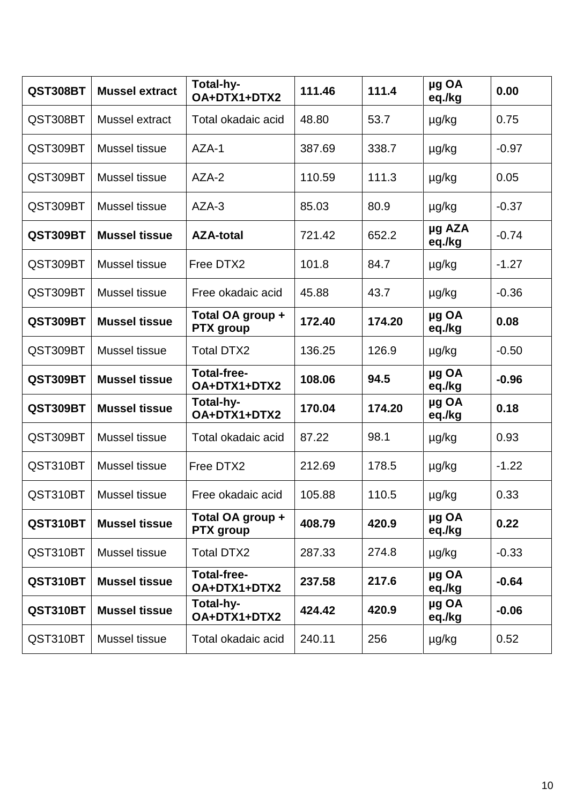| QST308BT | <b>Mussel extract</b> | Total-hy-<br>OA+DTX1+DTX2            | 111.46 | 111.4  | µg OA<br>eq./kg  | 0.00    |
|----------|-----------------------|--------------------------------------|--------|--------|------------------|---------|
| QST308BT | Mussel extract        | Total okadaic acid                   | 48.80  | 53.7   | µg/kg            | 0.75    |
| QST309BT | Mussel tissue         | $AZA-1$                              | 387.69 | 338.7  | $\mu$ g/kg       | $-0.97$ |
| QST309BT | Mussel tissue         | AZA-2                                | 110.59 | 111.3  | $\mu$ g/kg       | 0.05    |
| QST309BT | Mussel tissue         | AZA-3                                | 85.03  | 80.9   | µg/kg            | $-0.37$ |
| QST309BT | <b>Mussel tissue</b>  | <b>AZA-total</b>                     | 721.42 | 652.2  | µg AZA<br>eq./kg | $-0.74$ |
| QST309BT | Mussel tissue         | Free DTX2                            | 101.8  | 84.7   | µg/kg            | $-1.27$ |
| QST309BT | Mussel tissue         | Free okadaic acid                    | 45.88  | 43.7   | µg/kg            | $-0.36$ |
| QST309BT | <b>Mussel tissue</b>  | Total OA group +<br><b>PTX</b> group | 172.40 | 174.20 | µg OA<br>eq./kg  | 0.08    |
| QST309BT | Mussel tissue         | <b>Total DTX2</b>                    | 136.25 | 126.9  | µg/kg            | $-0.50$ |
| QST309BT | <b>Mussel tissue</b>  | <b>Total-free-</b><br>OA+DTX1+DTX2   | 108.06 | 94.5   | µg OA<br>eq./kg  | $-0.96$ |
| QST309BT | <b>Mussel tissue</b>  | Total-hy-<br>OA+DTX1+DTX2            | 170.04 | 174.20 | µg OA<br>eq./kg  | 0.18    |
| QST309BT | Mussel tissue         | Total okadaic acid                   | 87.22  | 98.1   | µg/kg            | 0.93    |
| QST310BT | Mussel tissue         | Free DTX2                            | 212.69 | 178.5  | $\mu$ g/kg       | $-1.22$ |
| QST310BT | Mussel tissue         | Free okadaic acid                    | 105.88 | 110.5  | µg/kg            | 0.33    |
| QST310BT | <b>Mussel tissue</b>  | Total OA group +<br><b>PTX</b> group | 408.79 | 420.9  | µg OA<br>eq./kg  | 0.22    |
| QST310BT | Mussel tissue         | <b>Total DTX2</b>                    | 287.33 | 274.8  | µg/kg            | $-0.33$ |
| QST310BT | <b>Mussel tissue</b>  | <b>Total-free-</b><br>OA+DTX1+DTX2   | 237.58 | 217.6  | µg OA<br>eq./kg  | $-0.64$ |
| QST310BT | <b>Mussel tissue</b>  | Total-hy-<br>OA+DTX1+DTX2            | 424.42 | 420.9  | µg OA<br>eq./kg  | $-0.06$ |
| QST310BT | Mussel tissue         | Total okadaic acid                   | 240.11 | 256    | µg/kg            | 0.52    |